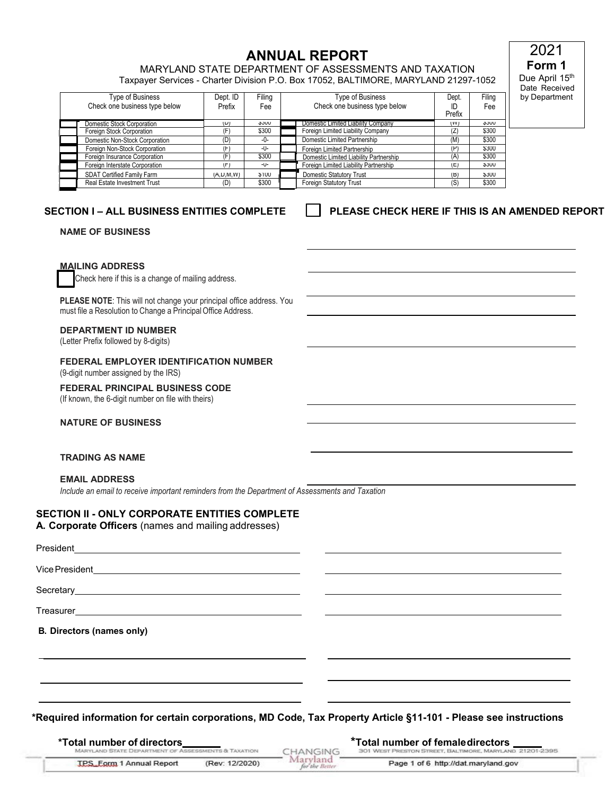**ANNUAL REPORT ANNUAL REPORT ANNUAL REPORT** Taxpayer Services - Charter Division P.O. Box 17052, BALTIMORE, MARYLAND 21297-1052

**Form 1**  Due April 15<sup>th</sup> Date Received by Department

2021

| Type of Business<br>Check one business type below | Dept. ID<br>Prefix | Filing<br>Fee | Type of Business<br>Check one business type below | Dept.<br>ID<br>Prefix | Filing<br>Fee |
|---------------------------------------------------|--------------------|---------------|---------------------------------------------------|-----------------------|---------------|
| Domestic Stock Corporation                        | $(\cup)$           | <b>JUU</b>    | Domestic Limited Liability Company                | (VV)                  | <b>JUU</b>    |
| Foreign Stock Corporation                         | (F)                | \$300         | Foreign Limited Liability Company                 | (Z)                   | \$300         |
| Domestic Non-Stock Corporation                    | (D)                | $-0-$         | Domestic Limited Partnership                      | (M)                   | \$300         |
| Foreign Non-Stock Corporation                     | (F)                | -U-           | Foreign Limited Partnership                       | $(\mathsf{P})$        | <b>\$300</b>  |
| Foreign Insurance Corporation                     | (F)                | \$300         | Domestic Limited Liability Partnership            | (A)                   | \$300         |
| Foreign Interstate Corporation                    | $(\vdash)$         | -U-           | Foreign Limited Liability Partnership             | (E)                   | <b>JUU</b>    |
| SDAT Certified Family Farm                        | (A, U, W, VV)      | <b>SIUU</b>   | <b>Domestic Statutory Trust</b>                   | (B)                   | <b>JUU</b>    |
| Real Estate Investment Trust                      | (D)                | \$300         | Foreign Statutory Trust                           | (S)                   | \$300         |

# **SECTION I – ALL BUSINESS ENTITIES COMPLETE**

## **PLEASE CHECK HERE IF THIS IS AN AMENDED REPORT**

**NAME OF BUSINESS** 

### **MAILING ADDRESS**

Check here if this is a change of mailing address.

 must file a Resolution to Change a Principal Office Address. **PLEASE NOTE**: This will not change your principal office address. You

#### **DEPARTMENT ID NUMBER**

(Letter Prefix followed by 8-digits)

# **FEDERAL EMPLOYER IDENTIFICATION NUMBER**

(9-digit number assigned by the IRS)

#### **FEDERAL PRINCIPAL BUSINESS CODE**

(If known, the 6-digit number on file with theirs)

#### **NATURE OF BUSINESS**

### **TRADING AS NAME**

#### **EMAIL ADDRESS**

*Include an email to receive important reminders from the Department of Assessments and Taxation* 

## **SECTION II - ONLY CORPORATE ENTITIES COMPLETE**

**A. Corporate Officers** (names and mailing addresses)

| President<br><u> Alexandria de la contrada de la contrada de la contrada de la contrada de la contrada de la contrada de la c</u> |  |
|-----------------------------------------------------------------------------------------------------------------------------------|--|
|                                                                                                                                   |  |
|                                                                                                                                   |  |
|                                                                                                                                   |  |
| <b>B. Directors (names only)</b>                                                                                                  |  |
|                                                                                                                                   |  |
|                                                                                                                                   |  |
|                                                                                                                                   |  |

 **\*Required information for certain corporations, MD Code, Tax Property Article §11-101 - Please see instructions**

| *Total number of directors_                                    |                | *Total number of femaledirectors _ |                                                         |  |
|----------------------------------------------------------------|----------------|------------------------------------|---------------------------------------------------------|--|
| <b>MARYLAND STATE DEPARTMENT OF ASSESSMENTS &amp; TAXATION</b> |                | CHANGING                           | 301 WEST PRESTON STREET, BALTIMORE, MARYLAND 21201-2395 |  |
| <b>TPS</b> Form 1 Annual Report                                | (Rev: 12/2020) | Marvland<br>for the Better         | Page 1 of 6 http://dat.maryland.gov                     |  |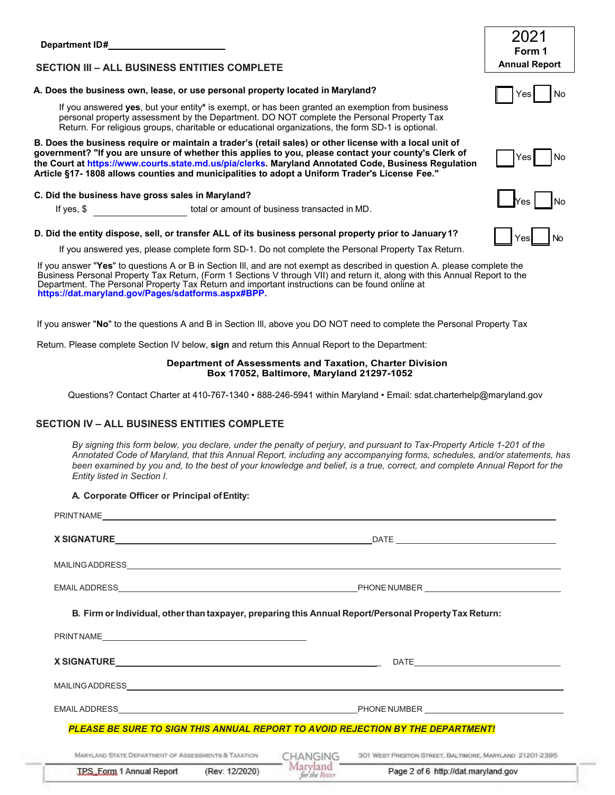|                                                                                                                                                                                                                                                                                                                                                                                                                           | 2021                 |
|---------------------------------------------------------------------------------------------------------------------------------------------------------------------------------------------------------------------------------------------------------------------------------------------------------------------------------------------------------------------------------------------------------------------------|----------------------|
|                                                                                                                                                                                                                                                                                                                                                                                                                           | Form 1               |
| <b>SECTION III - ALL BUSINESS ENTITIES COMPLETE</b>                                                                                                                                                                                                                                                                                                                                                                       | <b>Annual Report</b> |
| A. Does the business own, lease, or use personal property located in Maryland?                                                                                                                                                                                                                                                                                                                                            | Yes<br>No            |
| If you answered yes, but your entity* is exempt, or has been granted an exemption from business<br>personal property assessment by the Department. DO NOT complete the Personal Property Tax<br>Return. For religious groups, charitable or educational organizations, the form SD-1 is optional.                                                                                                                         |                      |
| B. Does the business require or maintain a trader's (retail sales) or other license with a local unit of<br>government? "If you are unsure of whether this applies to you, please contact your county's Clerk of<br>the Court at https://www.courts.state.md.us/pia/clerks. Maryland Annotated Code, Business Regulation<br>Article §17-1808 allows counties and municipalities to adopt a Uniform Trader's License Fee." | Yes<br>No            |
| C. Did the business have gross sales in Maryland?                                                                                                                                                                                                                                                                                                                                                                         |                      |
| total or amount of business transacted in MD.<br>If yes, $$$                                                                                                                                                                                                                                                                                                                                                              | No<br>Yes            |
| D. Did the entity dispose, sell, or transfer ALL of its business personal property prior to January 1?                                                                                                                                                                                                                                                                                                                    | <b>No</b><br>Yes     |
| If you answered yes, please complete form SD-1. Do not complete the Personal Property Tax Return.                                                                                                                                                                                                                                                                                                                         |                      |
| If you answer "Yes" to questions A or B in Section III, and are not exempt as described in question A. please complete the<br>Business Personal Property Tax Return, (Form 1 Sections V through VII) and return it, along with this Annual Report to the<br>Department. The Personal Property Tax Return and important instructions can be found online at<br>https://dat.maryland.gov/Pages/sdatforms.aspx#BPP.          |                      |
| If you answer "No" to the questions A and B in Section III, above you DO NOT need to complete the Personal Property Tax                                                                                                                                                                                                                                                                                                   |                      |
| Return. Please complete Section IV below, sign and return this Annual Report to the Department:                                                                                                                                                                                                                                                                                                                           |                      |
| Department of Assessments and Taxation, Charter Division<br>Box 17052, Baltimore, Maryland 21297-1052                                                                                                                                                                                                                                                                                                                     |                      |
| Questions? Contact Charter at 410-767-1340 • 888-246-5941 within Maryland • Email: sdat.charterhelp@maryland.gov                                                                                                                                                                                                                                                                                                          |                      |
| <b>SECTION IV - ALL BUSINESS ENTITIES COMPLETE</b>                                                                                                                                                                                                                                                                                                                                                                        |                      |
| By signing this form below, you declare, under the penalty of perjury, and pursuant to Tax-Property Article 1-201 of the<br>Annotated Code of Maryland, that this Annual Report, including any accompanying forms, schedules, and/or statements, has<br>been examined by you and, to the best of your knowledge and belief, is a true, correct, and complete Annual Report for the<br>Entity listed in Section I.         |                      |
| A. Corporate Officer or Principal of Entity:                                                                                                                                                                                                                                                                                                                                                                              |                      |
|                                                                                                                                                                                                                                                                                                                                                                                                                           |                      |
|                                                                                                                                                                                                                                                                                                                                                                                                                           |                      |

| B. Firm or Individual, other than taxpayer, preparing this Annual Report/Personal Property Tax Return:                                                                                                                        |                            |                                                         |
|-------------------------------------------------------------------------------------------------------------------------------------------------------------------------------------------------------------------------------|----------------------------|---------------------------------------------------------|
| PRINTNAMELAND AND ANNOUNCED AND ACCOUNT AND A CONTRACT OF THE CONTRACT OF THE CONTRACT OF THE CONTRACT OF THE CONTRACT OF THE CONTRACT OF THE CONTRACT OF THE CONTRACT OF THE CONTRACT OF THE CONTRACT OF THE CONTRACT OF THE |                            |                                                         |
|                                                                                                                                                                                                                               |                            |                                                         |
|                                                                                                                                                                                                                               |                            |                                                         |
|                                                                                                                                                                                                                               |                            |                                                         |
| <b>PLEASE BE SURE TO SIGN THIS ANNUAL REPORT TO AVOID REJECTION BY THE DEPARTMENT!</b>                                                                                                                                        |                            |                                                         |
| MARYLAND STATE DEPARTMENT OF ASSESSMENTS & TAXATION                                                                                                                                                                           | CHANGING                   | 301 WEST PRESTON STREET, BALTIMORE, MARYLAND 21201-2395 |
| (Rev: 12/2020)<br>TPS, Form 1 Annual Report                                                                                                                                                                                   | Maryland<br>for the Better | Page 2 of 6 http://dat.maryland.gov                     |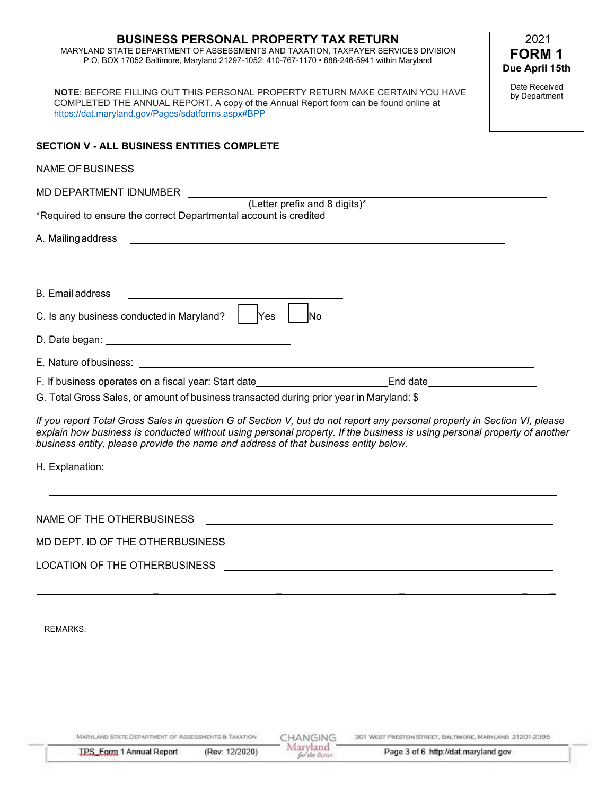# **BUSINESS PERSONAL PROPERTY TAX RETURN**  MARYLAND STATE DEPARTMENT OF ASSESSMENTS AND TAXATION, TAXPAYER SERVICES DIVISION P.O. BOX 17052 Baltimore, Maryland 21297-1052; 410-767-1170 • 888-246-5941 within Maryland **NOTE**: BEFORE FILLING OUT THIS PERSONAL PROPERTY RETURN MAKE CERTAIN YOU HAVE COMPLETED THE ANNUAL REPORT. A copy of the Annual Report form can be found online at <https://dat.maryland.gov/Pages/sdatforms.aspx#BPP> Date Received by Department 2021 **FORM 1 Due April 15th SECTION V - ALL BUSINESS ENTITIES COMPLETE**  NAME OF BUSINESS MD DEPARTMENT IDNUMBER (Letter prefix and 8 digits)\* \*Required to ensure the correct Departmental account is credited A. Mailingaddress B. Email address C. Is any business conductedin Maryland? ■Yes ■ l, F. If business operates on a fiscal year: Start date\_\_\_\_\_\_\_\_\_\_\_\_\_\_\_\_\_\_\_\_\_\_\_\_\_\_\_End date\_ G. Total Gross Sales, or amount of business transacted during prior year in Maryland: \$  *If you report Total Gross Sales in question G of Section V, but do not report any personal property in Section VI, please explain how business is conducted without using personal property. If the business is using personal property of another business entity, please provide the name and address of that business entity below.*  NAME OF THE OTHERBUSINESS MD DEPT. ID OF THE OTHERBUSINESS LOCATION OF THE OTHERBUSINESS  $|$  Yes \_ \_ \_ \_ \_ No D. Date began: E. Nature ofbusiness: H. Explanation:

REMARKS:

MARYLAND STATE DEPARTMENT OF ASSESSMENTS & TAXATION

**IPS Eggg 1 Annual Report** 

CHANGING Maryland (Rev: 12/2020) for the Better

301 WEST PRESTON STREET, BALTIMORE, MARYLAND 21201-2395 Page 3 of 6 http://dat.maryland.gov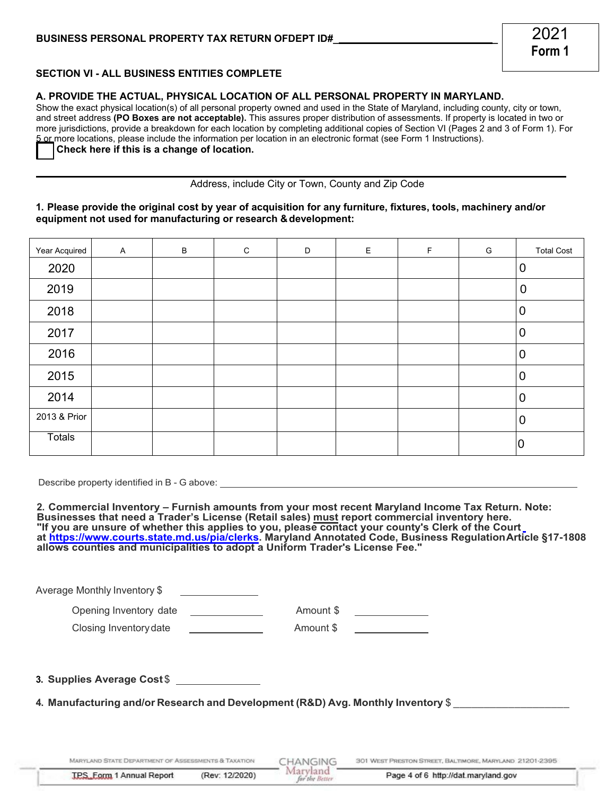## **SECTION VI - ALL BUSINESS ENTITIES COMPLETE**

### **A. PROVIDE THE ACTUAL, PHYSICAL LOCATION OF ALL PERSONAL PROPERTY IN MARYLAND.**

 **Check here if this is a change of location. [ ]** Show the exact physical location(s) of all personal property owned and used in the State of Maryland, including county, city or town, and street address **(PO Boxes are not acceptable).** This assures proper distribution of assessments. If property is located in two or more jurisdictions, provide a breakdown for each location by completing additional copies of Section VI (Pages 2 and 3 of Form 1). For 5 or more locations, please include the information per location in an electronic format (see Form 1 Instructions).

Address, include City or Town, County and Zip Code

## **1. Please provide the original cost by year of acquisition for any furniture, fixtures, tools, machinery and/or equipment not used for manufacturing or research & development:**

| Year Acquired | $\boldsymbol{\mathsf{A}}$ | $\, {\bf B}$ | ${\bf C}$ | D | $\mathsf E$ | $\mathsf F$ | G | <b>Total Cost</b> |
|---------------|---------------------------|--------------|-----------|---|-------------|-------------|---|-------------------|
| 2020          |                           |              |           |   |             |             |   | $\mathbf 0$       |
| 2019          |                           |              |           |   |             |             |   | $\mathbf 0$       |
| 2018          |                           |              |           |   |             |             |   | $\mathbf 0$       |
| 2017          |                           |              |           |   |             |             |   | $\mathbf 0$       |
| 2016          |                           |              |           |   |             |             |   | $\mathbf 0$       |
| 2015          |                           |              |           |   |             |             |   | $\mathbf 0$       |
| 2014          |                           |              |           |   |             |             |   | $\mathbf 0$       |
| 2013 & Prior  |                           |              |           |   |             |             |   | $\mathbf 0$       |
| <b>Totals</b> |                           |              |           |   |             |             |   | 0                 |

Describe property identified in B - G above:

 **2. Commercial Inventory – Furnish amounts from your most recent Maryland Income Tax Return. Note: "If you are unsure of whether this applies to you, please contact your county's Clerk of the Court Businesses that need a Trader's License (Retail sales) must report commercial inventory here. [a](http://www.courts.state.md.us/pia/clerks)[t https://www.courts.state.md.us/pia/clerks. Maryland Annotated Code, Business RegulationArticle §17-1808](https://www.courts.state.md.us/pia/clerks) allows counties and municipalities to adopt a Uniform Trader's License Fee."**

Maryland

for the Better

Average Monthly Inventory \$

 Opening Inventory date Amount \$ Amount \$

Closing Inventory date Amount \$

Amount \$

**3. Supplies Average Cost \$** 

 **4. Manufacturing and/or Research and Development (R&D) Avg. Monthly Inventory** \$ \_\_\_\_\_\_\_\_\_\_\_\_\_\_\_\_\_\_\_

MARYLAND STATE DEPARTMENT OF ASSESSMENTS & TAXATION

301 WEST PRESTON STREET, BALTIMORE, MARYLAND 21201-2395 CHANGING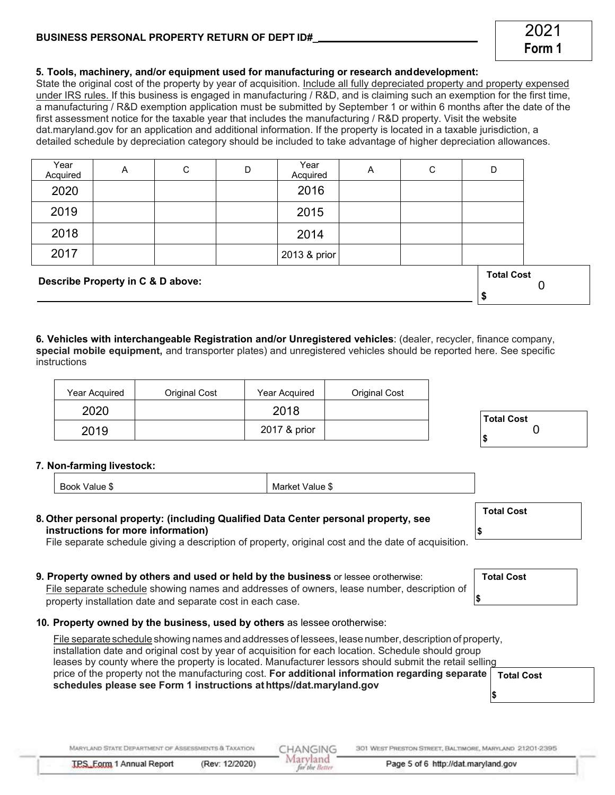| $\cdots$ |  |  |
|----------|--|--|

| instructions |  | 6. Vehicles with interchangeable Registration and/or Unregistered vehicles: (dealer, recycler, finance company,<br>special mobile equipment, and transporter plates) and unregistered vehicles should be reported here. See specific |
|--------------|--|--------------------------------------------------------------------------------------------------------------------------------------------------------------------------------------------------------------------------------------|
|              |  |                                                                                                                                                                                                                                      |

| Year Acquired | Original Cost | Year Acquired | Original Cost |
|---------------|---------------|---------------|---------------|
| 2020          |               | 2018          |               |
| 2019          |               | 2017 & prior  |               |

# **7. Non-farming livestock:**

| instructions for more information)                                                        |
|-------------------------------------------------------------------------------------------|
| File separate schedule giving a description of property, original cost and the date of ac |

# **9. Property owned by others and used or held by the business** or lessee orotherwise:

 File separate schedule showing names and addresses of owners, lease number, description of property installation date and separate cost in each case.

# **10. Property owned by the business, used by others** as lessee orotherwise:

 File separate schedule showing names and addresses of lessees, lease number, description of property, installation date and original cost by year of acquisition for each location. Schedule should group leases by county where the property is located. Manufacturer lessors should submit the retail selling price of the property not the manufacturing cost. **For additional information regarding separate schedules please see Form 1 instructions at [https//dat.maryland.gov](https://https//dat.maryland.gov) Total Cost \$** 

CHANGING

Maryland

for the Retter

Book Value \$ Market Value \$

 **8. Other personal property: (including Qualified Data Center personal property, see**

File separate schedule giving a description of property, original cost and the date of acquisition.

# **5. Tools, machinery, and/or equipment used for manufacturing or research anddevelopment:**

State the original cost of the property by year of acquisition. <u>Include all fully depreciated property and property expensed</u> <u>under IRS rules. I</u>f this business is engaged in manufacturing / R&D, and is claiming such an exemption for the first time, a manufacturing / R&D exemption application must be submitted by September 1 or within 6 months after the date of the first assessment notice for the taxable year that includes the manufacturing / R&D property. Visit the website [dat.maryland.gov](https://dat.maryland.gov) [fo](https://dat.maryland.gov/)r an application and additional information. If the property is located in a taxable jurisdiction, a

| <b>BUSINESS PERSONAL PROPERTY RETURN OF DEPT ID#</b> |  |
|------------------------------------------------------|--|
|                                                      |  |

 detailed schedule by depreciation category should be included to take advantage of higher depreciation allowances. 2017 2013 & prior Year<br>Acquired Acquired A C D Year Year | A | C | D<br>Acquired | A | C | D 2020 2016 2019 2015 2018 2014

 **Describe Property in C & D above: Total Cost** 

**\$** 

0

**Total Cost**   $\Omega$ 

**\$** 

**Total Cost** 

**Total Cost** 

**\$** 

**\$** 

 **Form 1**